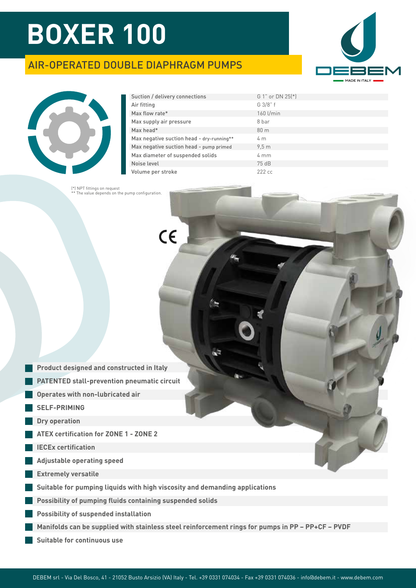### AIR-OPERATED DOUBLE DIAPHRAGM PUMPS





| Suction / delivery connections            | G 1" or DN 25(*)  |
|-------------------------------------------|-------------------|
| Air fitting                               | G 3/8" f          |
| Max flow rate*                            | $160$ l/min       |
| Max supply air pressure                   | 8 bar             |
| Max head*                                 | 80 <sub>m</sub>   |
| Max negative suction head - dry-running** | 4 <sub>m</sub>    |
| Max negative suction head - pump primed   | 9.5 <sub>m</sub>  |
| Max diameter of suspended solids          | $4 \text{ mm}$    |
| Noise level                               | 75 dB             |
| Volume per stroke                         | 222 <sub>cc</sub> |

64

65

 $C\epsilon$ 

(\*) NPT fittings on request \*\* The value depends on the pump configuration.

|  |  | <b>Product designed and constructed in Italy</b> |  |
|--|--|--------------------------------------------------|--|
|  |  |                                                  |  |
|  |  |                                                  |  |
|  |  |                                                  |  |

- **PATENTED stall-prevention pneumatic circuit**
- **Operates with non-lubricated air**
- **SELF-PRIMING**
- **Dry operation**
- **ATEX certification for ZONE 1 ZONE 2**
- **IECEx certification**
- **Adjustable operating speed**
- **Extremely versatile**
- **Suitable for pumping liquids with high viscosity and demanding applications**
- **Possibility of pumping fluids containing suspended solids**
- **Possibility of suspended installation**
- **Manifolds can be supplied with stainless steel reinforcement rings for pumps in PP PP+CF PVDF**
- **Suitable for continuous use**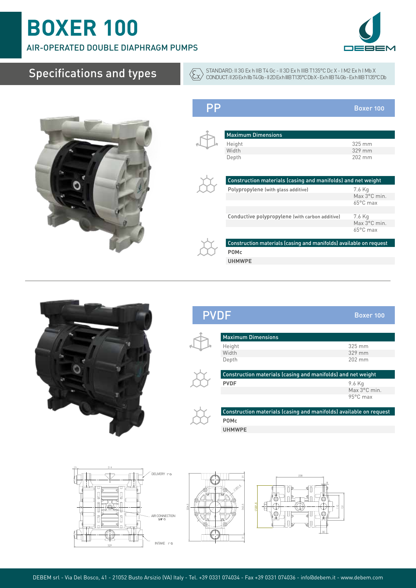AIR-OPERATED DOUBLE DIAPHRAGM PUMPS

## Specifications and types



STANDARD: II 3G Ex h IIB T4 Gc - II 3D Ex h IIIB T135°C Dc X - I M2 Ex h I Mb X CONDUCT: II 2G Ex h IIb T4 Gb - II 2D Ex h IIIB T135°C Db X - Ex h IIB T4 Gb - Ex h IIIB T135°C Db

PP Boxer 100

| <b>Maximum Dimensions</b>                                          |                    |
|--------------------------------------------------------------------|--------------------|
| Height                                                             | 325 mm             |
| Width                                                              | 329 mm             |
| Depth                                                              | 202 mm             |
|                                                                    |                    |
| Construction materials (casing and manifolds) and net weight       |                    |
| Polypropylene (with glass additive)                                | 7.6 Kg             |
|                                                                    | Max 3°C min.       |
|                                                                    | $65^{\circ}$ C max |
|                                                                    |                    |
| Conductive polypropylene (with carbon additive)                    | 7.6 Kg             |
|                                                                    | Max 3°C min.       |
|                                                                    | $65^{\circ}$ C max |
| Construction materials (casing and manifolds) available on request |                    |
| <b>POMc</b>                                                        |                    |
| <b>UHMWPE</b>                                                      |                    |



### PVDF Boxer 100



 $\sqrt{\xi x}$ 

| <b>Maximum Dimensions</b>                                    |                  |  |  |  |  |  |
|--------------------------------------------------------------|------------------|--|--|--|--|--|
| Height                                                       | $325 \text{ mm}$ |  |  |  |  |  |
| Width                                                        | $329$ mm         |  |  |  |  |  |
| Depth                                                        | $202 \text{ mm}$ |  |  |  |  |  |
| Construction materials (casing and manifolds) and net weight |                  |  |  |  |  |  |
|                                                              |                  |  |  |  |  |  |
| <b>PVDF</b>                                                  | 9.6 Kg           |  |  |  |  |  |
|                                                              | Max 3°C min.     |  |  |  |  |  |



Construction materials (casing and manifolds) available on request **POMc**

**UHMWPE**





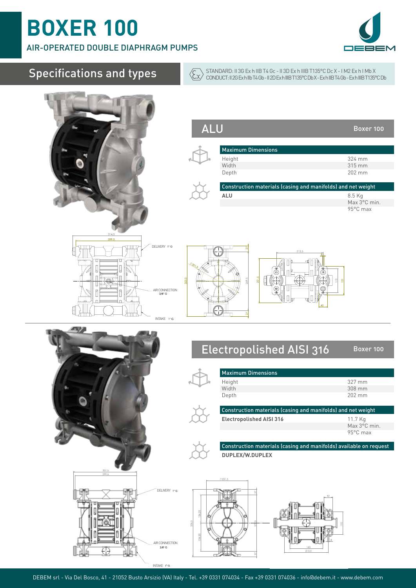AIR-OPERATED DOUBLE DIAPHRAGM PUMPS

## Specifications and types

**Service State** 



 $\sqrt{\xi x}$ STANDARD: II 3G Ex h IIB T4 Gc - II 3D Ex h IIIB T135°C Dc X - I M2 Ex h I Mb X CONDUCT: II 2G Ex h IIb T4 Gb - II 2D Ex h IIIB T135°C Db X - Ex h IIB T4 Gb - Ex h IIIB T135°C Db

|                                                                                                                             | <b>ALU</b> |                                                                                                                                     | Boxer 100                                                        |
|-----------------------------------------------------------------------------------------------------------------------------|------------|-------------------------------------------------------------------------------------------------------------------------------------|------------------------------------------------------------------|
|                                                                                                                             |            | <b>Maximum Dimensions</b><br>Height<br>Width<br>Depth<br>Construction materials (casing and manifolds) and net weight<br><b>ALU</b> | 324 mm<br>315 mm<br>202 mm<br>8.5 Kg<br>Max 3°C min.<br>95°C max |
| 314,5<br>299,5<br>DELIVERY I"G<br>$\begin{array}{c} \text{AIR CONNECTION} \\ 3/8^\circ \text{ G} \end{array}$<br>INTAKE I"G | 323.5      | 213,5<br>$\sigma$<br>š<br>$\overline{2}$                                                                                            |                                                                  |
|                                                                                                                             |            | <b>Electropolished AISI 316</b>                                                                                                     | Boxer 100                                                        |



|                                 | CONSUMENTING (Cabing and mannous) and net weight |  |  |  |  |
|---------------------------------|--------------------------------------------------|--|--|--|--|
| <b>Electropolished AISI 316</b> | 11.7 Kg                                          |  |  |  |  |
|                                 | Max 3°C min.                                     |  |  |  |  |
|                                 | 95°C max                                         |  |  |  |  |

Construction materials (casing and manifolds) available on request **DUPLEX/W.DUPLEX**



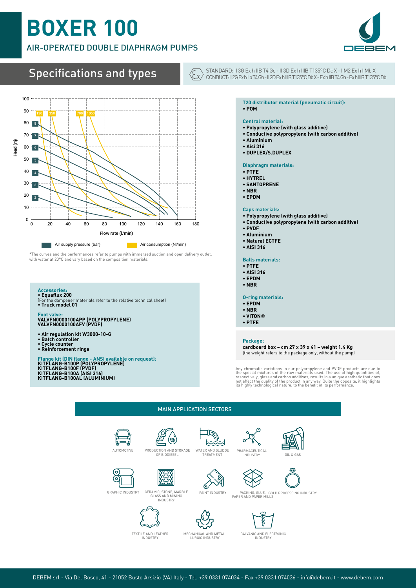### AIR-OPERATED DOUBLE DIAPHRAGM PUMPS



## Specifications and types



\*The curves and the performances refer to pumps with immersed suction and open delivery outlet, with water at 20°C and vary based on the composition materials.

#### **Accessories:**

- **Equaflux 200**
- (For the dampener materials refer to the relative technical sheet) **• Truck model 01**

## **Foot valve: VALVFN0000100APP (POLYPROPYLENE) VALVFN0000100AFV (PVDF)**

- **Air regulation kit W3000-10-G Batch controller**
- 
- **Cycle counter Reinforcement rings**
- Flange kit (DIN flange ANSI available on request):<br>KITFLANG-B100P (POLYPROPYLENE)<br>KITFLANG-B100F (PVDF)<br>KITFLANG-B100A (AISI 316)<br>KITFLANG-B100AL (ALUMINIUM)

#### STANDARD: II 3G Ex h IIB T4 Gc - II 3D Ex h IIIB T135°C Dc X - I M2 Ex h I Mb X CONDUCT: II 2G Ex h IIb T4 Gb - II 2D Ex h IIIB T135°C Db X - Ex h IIB T4 Gb - Ex h IIIB T135°C Db

#### **T20 distributor material (pneumatic circuit): • POM**

#### **Central material:**

- **Polypropylene (with glass additive)**
- **Conductive polypropylene (with carbon additive)**
- **Aluminium**

 $\langle \overline{\xi_x}$ 

- **Aisi 316**
- **DUPLEX/S.DUPLEX**

#### **Diaphragm materials:**

- **PTFE**
- **HYTREL**
- **SANTOPRENE**
- **NBR**
- **EPDM**

#### **Caps materials:**

- **Polypropylene (with glass additive)**
- **Conductive polypropylene (with carbon additive)**
- **PVDF**
- **Aluminium**
- **Natural ECTFE**
- **AISI 316**

**Balls materials:**

- **PTFE**
- **AISI 316**
- **EPDM • NBR**
- 

#### **O-ring materials:**

- **EPDM**
- **NBR**
- **VITON**®
- **PTFE**

#### **Package:**

**cardboard box – cm 27 x 39 x 41 – weight 1.4 Kg** (the weight refers to the package only, without the pump)

Any chromatic variations in our polypropylene and PVDF products are due to<br>the special mixtures of the raw materials used. The use of high quantities of,<br>respectively, glass and carbon additives, results in a unique aesthe